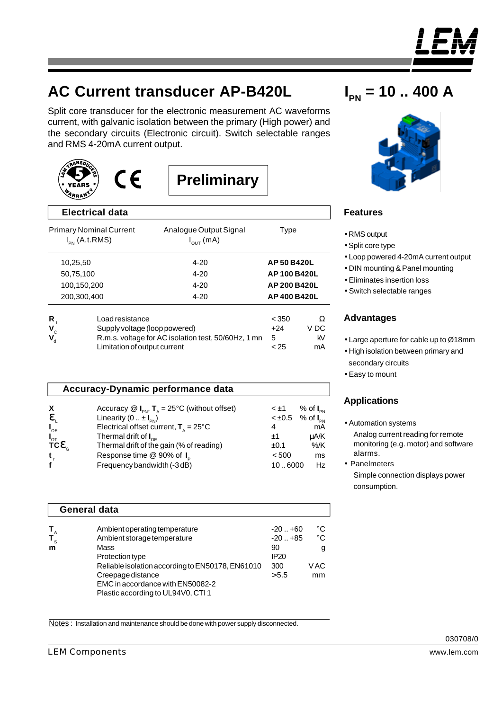

# **AC Current transducer AP-B420L**

Split core transducer for the electronic measurement AC waveforms current, with galvanic isolation between the primary (High power) and the secondary circuits (Electronic circuit). Switch selectable ranges and RMS 4-20mA current output.





**Preliminary**

| <b>Electrical data</b>                                                                                                                                                                                                               |                                                 |                           |                       |
|--------------------------------------------------------------------------------------------------------------------------------------------------------------------------------------------------------------------------------------|-------------------------------------------------|---------------------------|-----------------------|
| <b>Primary Nominal Current</b><br>$I_{PN}$ (A.t.RMS)                                                                                                                                                                                 | Analogue Output Signal<br>$I_{\text{OUT}}$ (mA) | Type                      |                       |
| 10,25,50                                                                                                                                                                                                                             | $4 - 20$                                        | AP 50 B420L               |                       |
| 50,75,100                                                                                                                                                                                                                            | $4 - 20$                                        | AP 100 B420L              |                       |
| 100,150,200                                                                                                                                                                                                                          | $4 - 20$                                        | AP 200 B420L              |                       |
| 200,300,400                                                                                                                                                                                                                          | $4 - 20$                                        | AP 400 B420L              |                       |
| Load resistance<br>R,<br>$\mathbf{V}_{\rm c}$<br>Supply voltage (loop powered)<br>R.m.s. voltage for AC isolation test, 50/60Hz, 1 mn<br>$\boldsymbol{\mathsf{V}}_{_{\!\scriptscriptstyle\text{d}}}$<br>Limitation of output current |                                                 | < 350<br>+24<br>5<br>< 25 | Ω<br>V DC<br>kV<br>mA |

|                                               | Accuracy-Dynamic performance data                                                       |             |                               |
|-----------------------------------------------|-----------------------------------------------------------------------------------------|-------------|-------------------------------|
| X                                             | Accuracy $\mathcal{Q}$ $I_{\text{pN}}$ , $T_{\text{A}} = 25^{\circ}$ C (without offset) | $< \pm 1$   | $%$ of $I_{\text{pN}}$        |
| e                                             | Linearity $(0 \dots \pm I_{\text{PN}})$                                                 | $< \pm 0.5$ | $%$ of $I_{\text{\tiny{PN}}}$ |
| $I_{OE}$                                      | Electrical offset current, $T_a = 25^{\circ}C$                                          | 4           | mA                            |
| $I_{\text{OT}}$<br>TC $\mathbf{e}_{\text{G}}$ | Thermal drift of $I_{\text{OF}}$                                                        | ±1          | uA/K                          |
|                                               | Thermal drift of the gain (% of reading)                                                | ±0.1        | $%$ /K                        |
|                                               | Response time @ 90% of I <sub>p</sub>                                                   | < 500       | ms                            |
|                                               | Frequency bandwidth (-3 dB)                                                             | 106000      | Hz                            |

| <b>General data</b> |                                                  |                  |      |  |  |  |
|---------------------|--------------------------------------------------|------------------|------|--|--|--|
|                     | Ambient operating temperature                    | $-20. +60$       | °C   |  |  |  |
| $T_{\rm s}$         | Ambient storage temperature                      | $-20. + 85$      | °C   |  |  |  |
| m                   | Mass                                             | 90               | g    |  |  |  |
|                     | Protection type                                  | IP <sub>20</sub> |      |  |  |  |
|                     | Reliable isolation according to EN50178, EN61010 | 300              | V AC |  |  |  |
|                     | Creepage distance                                | > 5.5            | mm   |  |  |  |
|                     | EMC in accordance with EN50082-2                 |                  |      |  |  |  |
|                     | Plastic according to UL94V0, CTI 1               |                  |      |  |  |  |

**I PN = 10 .. 400 A**



# **Features**

- RMS output
- •Split core type
- Loop powered 4-20mA current output
- DIN mounting & Panel mounting
- Eliminates insertion loss
- Switch selectable ranges

### **Advantages**

- Large aperture for cable up to Ø18mm
- High isolation between primary and secondary circuits
- Easy to mount

# **Applications**

- Automation systems Analog current reading for remote monitoring (e.g. motor) and software alarms.
- Panelmeters Simple connection displays power consumption.

Notes : Installation and maintenance should be done with power supply disconnected.